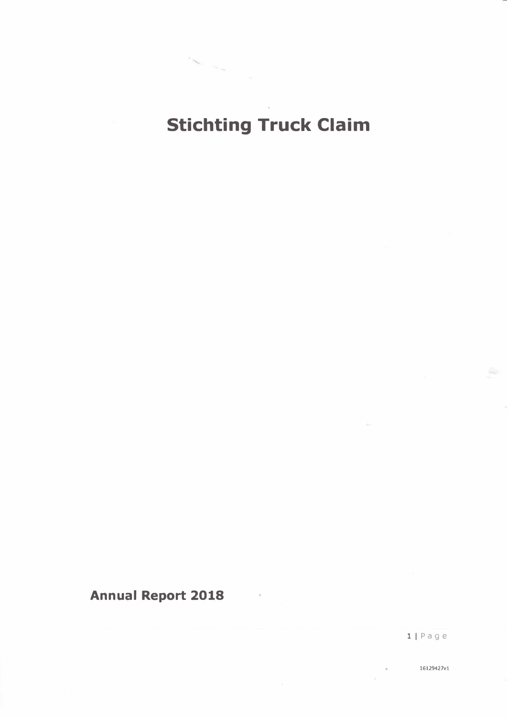# **Stichting Truck Claim**

## **Annual Report 2018**

llPage

16129427vl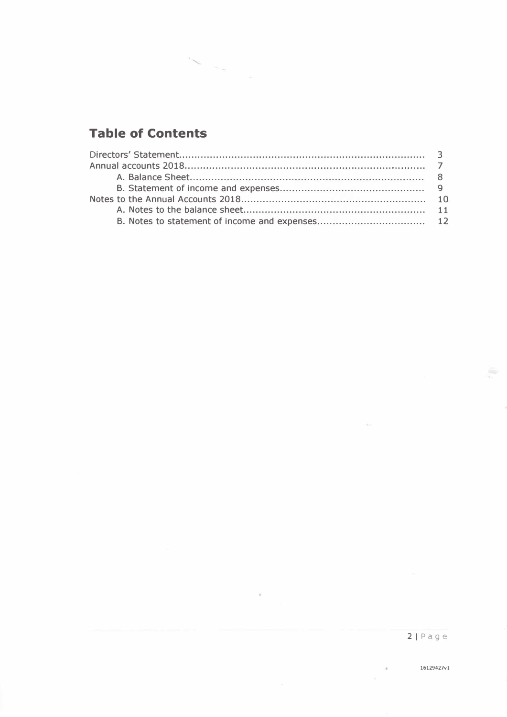## **Table of Contents**

 $\mathcal{R}$ 

 $\sim$   $\sim$   $^{-1}$ 

 $\langle \Psi \rangle$ 

à.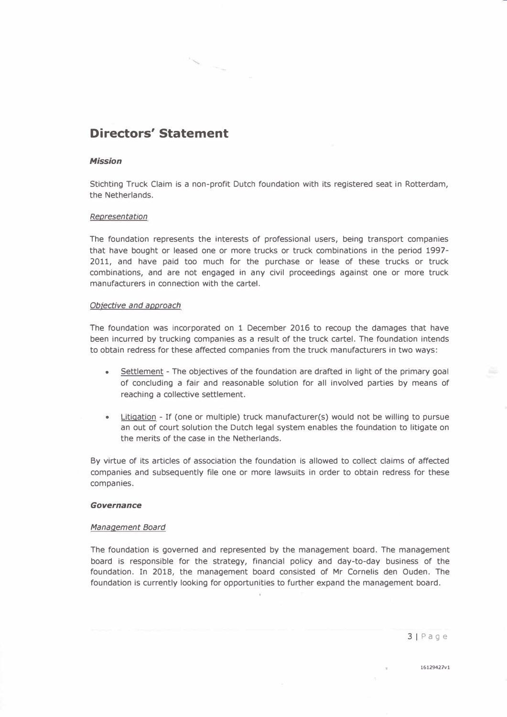### **Directors' Statement**

#### *Mission*

Stichting Truck Claim is a non-profit Dutch foundation with its registered seat in Rotterdam, the Netherlands.

#### *Representation*

The foundation represents the interests of professional users, being transport companies that have bought or leased one or more trucks or truck combinations in the period 1997- 2011, and have paid too much for the purchase or lease of these trucks or truck combinations, and are not engaged in any civil proceedings against one or more truck manufacturers in connection with the cartel.

#### *Obiective and approach*

The foundation was incorporated on 1 December 2016 to recoup the damages that have been incurred by trucking companies as a result of the truck cartel. The foundation intends to obtain redress for these affected companies from the truck manufacturers in two ways:

- Settlement The objectives of the foundation are drafted in light of the primary goal of concluding a fair and reasonable solution for all involved parties by means of reaching a collective settlement.
- Litigation If (one or multiple) truck manufacturer(s) would not be willing to pursue an out of court solution the Dutch legal system enables the foundation to litigate on the merits of the case in the Netherlands.

By virtue of its articles of association the foundation is allowed to collect claims of affected companies and subsequently file one or more lawsuits in order to obtain redress for these companies.

#### *Governance*

#### *Management Board*

The foundation is governed and represented by the management board. The management board is responsible for the strategy, financial policy and day-to-day business of the foundation. In 2018, the management board consisted of Mr Cornelis den Ouden. The foundation is currently looking for opportunities to further expand the management board.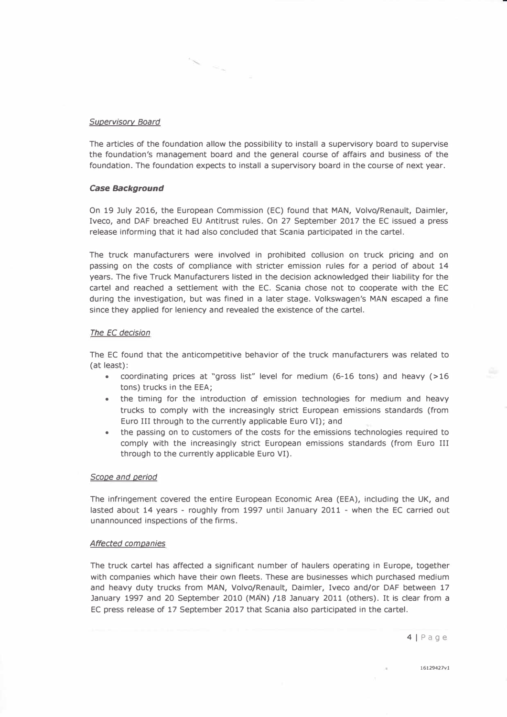#### *Supervisory Board*

The articles of the foundation allow the possibility to install a supervisory board to supervise the foundation's management board and the general course of affairs and business of the foundation. The foundation expects to install a supervisory board in the course of next year.

#### *Case Background*

On 19 July 2016, the European Commission (EC) found that **MAN,** Volvo/Renault, Daimler, Iveco, and DAF breached EU Antitrust rules. On 27 September 2017 the EC issued a press release informing that it had also concluded that Scania participated in the cartel.

The truck manufacturers were involved in prohibited collusion on truck pricing and on passing on the costs of compliance with stricter emission rules for a period of about 14 years. The five Truck Manufacturers listed in the decision acknowledged their liability for the cartel and reached a settlement with the EC. Scania chose not to cooperate with the EC during the investigation, but was fined in a later stage. Volkswagen's MAN escaped a fine since they applied for leniency and revealed the existence of the cartel.

#### *The EC decision*

The EC found that the anticompetitive behavior of the truck manufacturers was related to (at least):

- coordinating prices at "gross list" level for medium (6-16 tons) and heavy (>16 tons) trucks in the EEA;
- the timing for the introduction of emission technologies for medium and heavy trucks to comply with the increasingly strict European emissions standards (from Euro III through to the currently applicable Euro VI); and
- the passing on to customers of the costs for the emissions technologies required to comply with the increasingly strict European emissions standards (from Euro III through to the currently applicable Euro VI).

#### *Scope and period*

The infringement covered the entire European Economic Area (EEA), including the UK, and lasted about 14 years - roughly from 1997 until January 2011 - when the EC carried out unannounced inspections of the firms.

#### *Affected companies*

The truck cartel has affected a significant number of haulers operating in Europe, together with companies which have their own fleets. These are businesses which purchased medium and heavy duty trucks from **MAN,** Volvo/Renault, Daimler, Iveco and/or DAF between 17 January 1997 and 20 September 2010 **(MAN)** /18 January 2011 (others). It is clear from a EC press release of 17 September 2017 that Scania also participated in the cartel.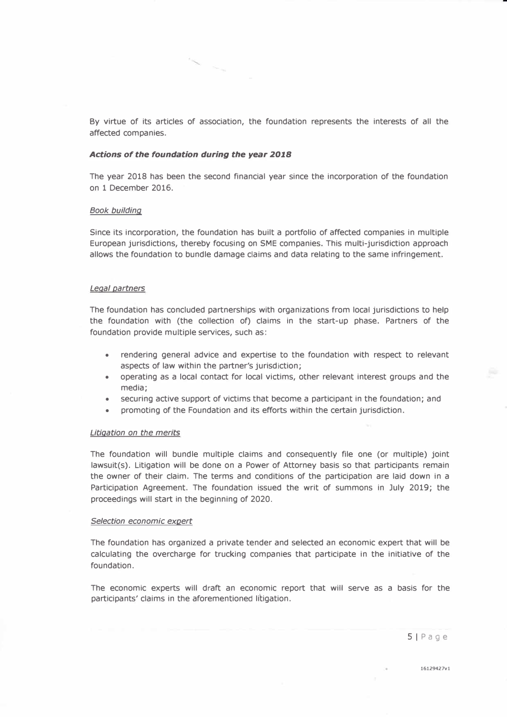By virtue of its articles of association, the foundation represents the interests of all the affected companies.

#### *Actions of the foundation during the year 2018*

The year 2018 has been the second financial year since the incorporation of the foundation on 1 December 2016.

#### *Book building*

Since its incorporation, the foundation has built a portfolio of affected companies in multiple European jurisdictions, thereby focusing on SME companies. This multi-jurisdiction approach allows the foundation to bundle damage claims and data relating to the same infringement.

#### *Legal partners*

The foundation has concluded partnerships with organizations from local jurisdictions to help the foundation with (the collection of) claims in the start-up phase. Partners of the foundation provide multiple services, such as:

- rendering general advice and expertise to the foundation with respect to relevant aspects of law within the partner's jurisdiction;
- operating as a local contact for local victims, other relevant interest groups and the media;
- securing active support of victims that become a participant in the foundation; and
- promoting of the Foundation and its efforts within the certain jurisdiction.

#### *Litigation on the merits*

The foundation will bundle multiple claims and consequently file one (or multiple) joint lawsuit(s). Litigation will be done on a Power of Attorney basis so that participants remain the owner of their claim. The terms and conditions of the participation are laid down in a Participation Agreement. The foundation issued the writ of summons in July 2019; the proceedings will start in the beginning of 2020.

#### *Selection economic expert*

The foundation has organized a private tender and selected an economic expert that will be calculating the overcharge for trucking companies that participate in the initiative of the foundation.

The economic experts will draft an economic report that will serve as a basis for the participants' claims in the aforementioned litigation.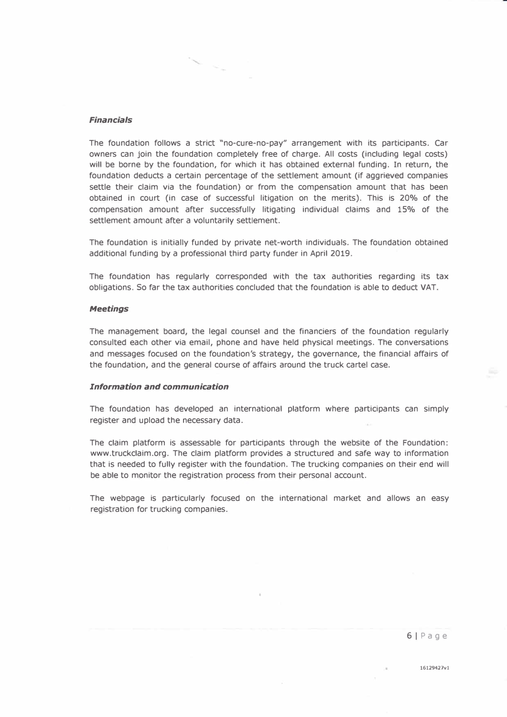#### *Financials*

The foundation follows a strict "no-cure-no-pay" arrangement with its participants. Car owners can join the foundation completely free of charge. All costs (including legal costs) will be borne by the foundation, for which it has obtained external funding. In return, the foundation deducts a certain percentage of the settlement amount (if aggrieved companies settle their claim via the foundation) or from the compensation amount that has been obtained in court (in case of successful litigation on the merits). This is 20% of the compensation amount after successfully litigating individual claims and 15% of the settlement amount after a voluntarily settlement.

The foundation is initially funded by private net-worth individuals. The foundation obtained additional funding by a professional third party funder in April 2019.

The foundation has regularly corresponded with the tax authorities regarding its tax obligations. So far the tax authorities concluded that the foundation is able to deduct VAT.

#### *Meetings*

The management board, the legal counsel and the financiers of the foundation regularly consulted each other via email, phone and have held physical meetings. The conversations and messages focused on the foundation's strategy, the governance, the financial affairs of the foundation, and the general course of affairs around the truck cartel case.

#### *Information and communication*

The foundation has developed an international platform where participants can simply register and upload the necessary data.

The claim platform is assessable for participants through the website of the Foundation: www.truckclaim.org. The claim platform provides a structured and safe way to information that is needed to fully register with the foundation. The trucking companies on their end will be able to monitor the registration process from their personal account.

The webpage is particularly focused on the international market and allows an easy registration for trucking companies.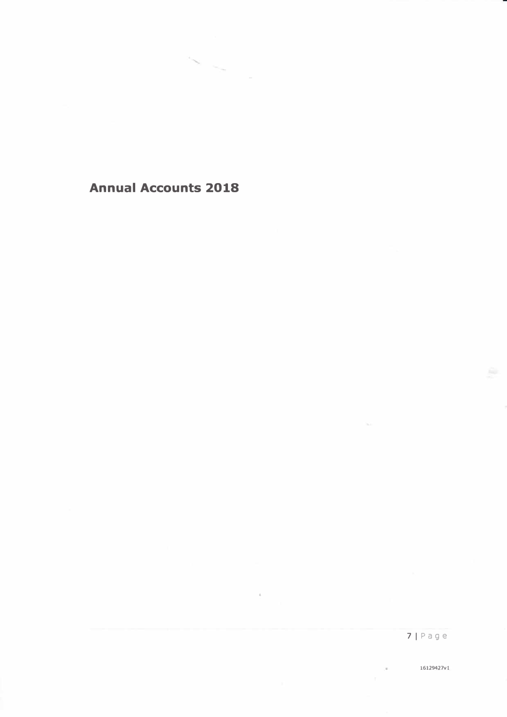**Annual Accounts 2018** 

 $\sim$   $-$ 

 $\alpha$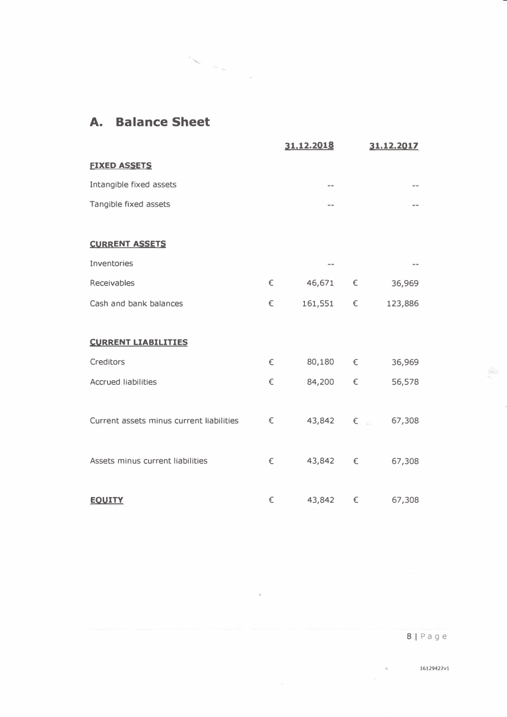### **A. Balance Sheet**

 $\label{eq:1} \sum_{\alpha\in\mathbb{Z}}\left|\sum_{\alpha\in\mathbb{Z}}\alpha\right|_{\alpha,\alpha}$ 

|                                          |   | 31.12.2018 |            | 31.12.2017 |
|------------------------------------------|---|------------|------------|------------|
| <b>FIXED ASSETS</b>                      |   |            |            |            |
| Intangible fixed assets                  |   | $-1$       |            | ند ب       |
| Tangible fixed assets                    |   | $-1$       |            |            |
|                                          |   |            |            |            |
| <b>CURRENT ASSETS</b>                    |   |            |            |            |
| Inventories                              |   | $- -$      |            |            |
| Receivables                              | € | 46,671 €   |            | 36,969     |
| Cash and bank balances                   | € | 161,551    | $\epsilon$ | 123,886    |
|                                          |   |            |            |            |
| <b>CURRENT LIABILITIES</b>               |   |            |            |            |
| Creditors                                | € | 80,180 €   |            | 36,969     |
| <b>Accrued liabilities</b>               | € | 84,200     | €          | 56,578     |
|                                          |   |            |            |            |
| Current assets minus current liabilities | € | 43,842 €   |            | 67,308     |
|                                          |   |            |            |            |
| Assets minus current liabilities         | € | 43,842 €   |            | 67,308     |
|                                          |   |            |            |            |
| <b>EQUITY</b>                            | € | 43,842     | €          | 67,308     |

 $\sim$   $\sim$ 

**16129427vl** 

 $\geq 0$  .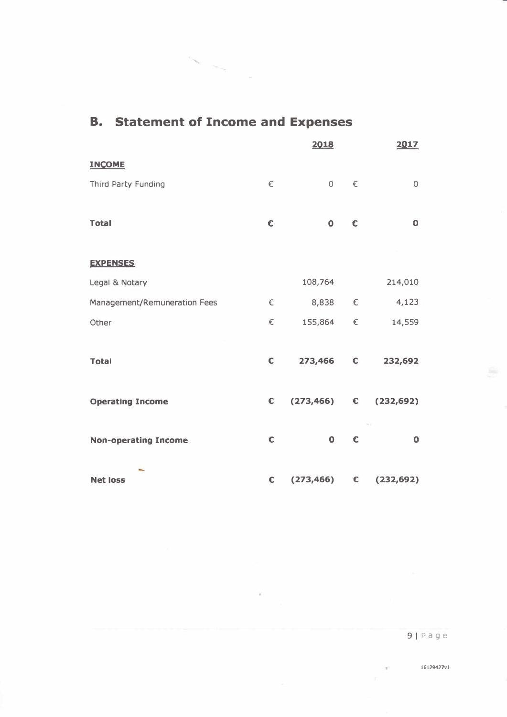|            | 2018        |                         | 2017                                                                                                     |
|------------|-------------|-------------------------|----------------------------------------------------------------------------------------------------------|
|            |             |                         |                                                                                                          |
| €          |             |                         | $\circ$                                                                                                  |
|            |             |                         |                                                                                                          |
| $\epsilon$ | $\mathbf 0$ | $\epsilon$              | $\mathbf 0$                                                                                              |
|            |             |                         |                                                                                                          |
|            |             |                         |                                                                                                          |
|            | 108,764     |                         | 214,010                                                                                                  |
| €          |             | $\epsilon$              | 4,123                                                                                                    |
| $\in$      |             | $\epsilon$              | 14,559                                                                                                   |
|            |             |                         |                                                                                                          |
| €          |             |                         | 232,692                                                                                                  |
|            |             |                         |                                                                                                          |
|            |             |                         | (232, 692)                                                                                               |
|            |             |                         | $\mathbf 0$                                                                                              |
|            |             |                         |                                                                                                          |
| €          |             | $\epsilon$              | (232, 692)                                                                                               |
|            | €           | $\epsilon$<br>$\bullet$ | $0 \in$<br>8,838<br>155,864<br>273,466 €<br>$(273, 466)$ $\qquad \qquad \in$<br>$\epsilon$<br>(273, 466) |

 $\overline{\mathcal{L}}$ 

## **B. Statement of Income and Expenses**

 $\bar{\rm{O}}$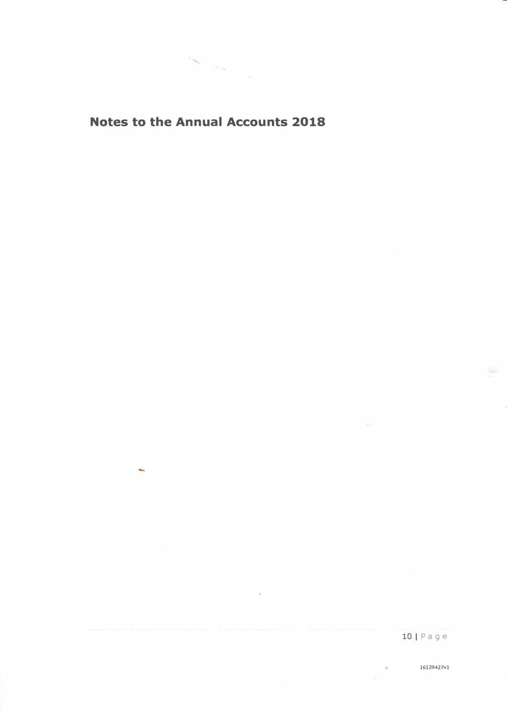### **Notes to the Annual Accounts 2018**

÷.

 $\sim$ 

 $\mu$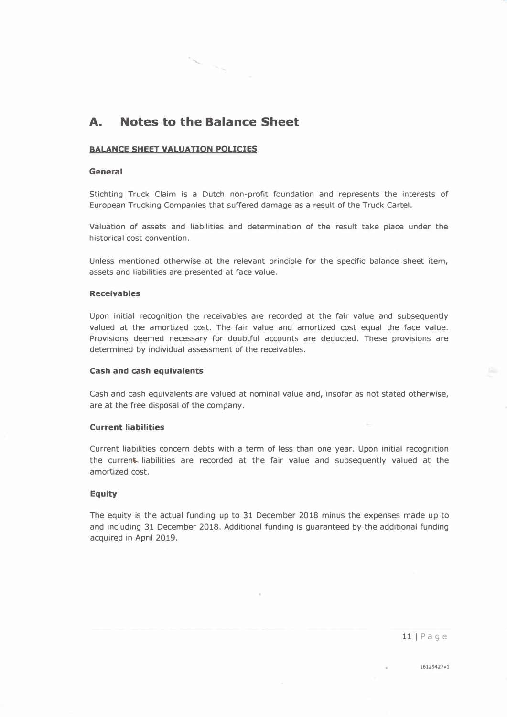### **A. Notes to the Balance Sheet**

#### **BALANCE SHEET VALUATION POLICIES**

#### **General**

Stichting Truck Claim is a Dutch non-profit foundation and represents the interests of European Trucking Companies that suffered damage as a result of the Truck Cartel.

Valuation of assets and liabilities and determination of the result take place under the historical cost convention.

Unless mentioned otherwise at the relevant principle for the specific balance sheet item, assets and liabilities are presented at face value.

#### **Receivables**

Upon initial recognition the receivables are recorded at the fair value and subsequently valued at the amortized cost. The fair value and amortized cost equal the face value. Provisions deemed necessary for doubtful accounts are deducted. These provisions are determined by individual assessment of the receivables.

#### **Cash and cash equivalents**

Cash and cash equivalents are valued at nominal value and, insofar as not stated otherwise, are at the free disposal of the company.

#### **Current liabilities**

Current liabilities concern debts with a term of less than one year. Upon initial recognition the current. liabilities are recorded at the fair value and subsequently valued at the amortized cost.

#### **Equity**

The equity is the actual funding up to 31 December 2018 minus the expenses made up to and including 31 December 2018. Additional funding is guaranteed by the additional funding acquired in April 2019.